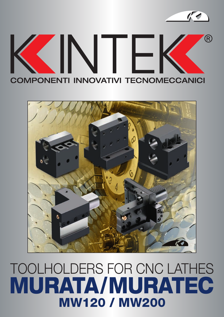

BORING BAR SLEEVE FOR TOOLHOLDER

 $\frac{1}{2}$ 



## TOOLHOLDERS FOR CNC LATHES MURATA/MURATEC MW120 / MW200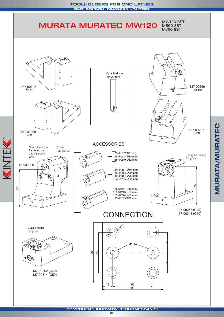

KINTEK

02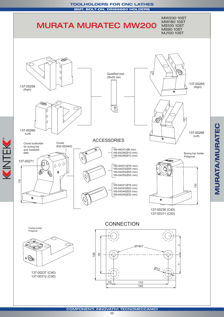



**COMPONENTI INNOVATIVI TECNOMECCANICI**